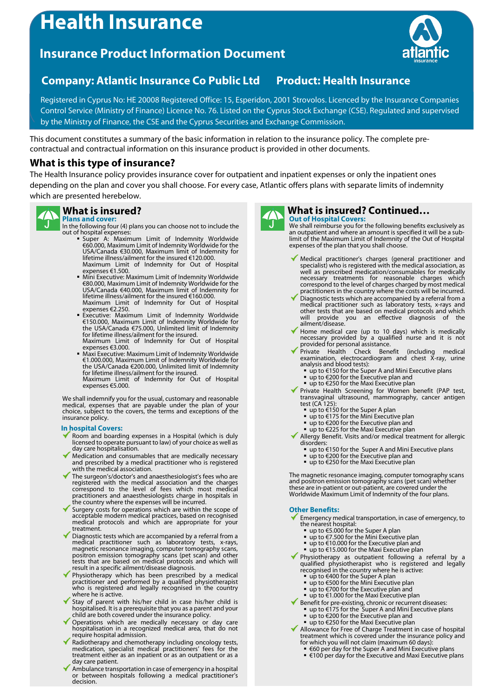# **Health Insurance**

# **Insurance Product Information Document**



# **Company: Atlantic Insurance Co Public Ltd Product: Health Insurance**

Registered in Cyprus No: HE 20008 Registered Office: 15, Esperidon, 2001 Strovolos. Licenced by the Insurance Companies Control Service (Ministry of Finance) Licence No. 76. Listed on the Cyprus Stock Exchange (CSE). Regulated and supervised by the Ministry of Finance, the CSE and the Cyprus Securities and Exchange Commission.

This document constitutes a summary of the basic information in relation to the insurance policy. The complete precontractual and contractual information on this insurance product is provided in other documents.

## **What is this type of insurance?**

The Health Insurance policy provides insurance cover for outpatient and inpatient expenses or only the inpatient ones depending on the plan and cover you shall choose. For every case, Atlantic offers plans with separate limits of indemnity which are presented herebelow.

# **What is insured?**

# **Plans and cover:**

In the following four (4) plans you can choose not to include the out of hospital expenses:

- out of hospital expenses:<br>
 Super A: Maximum Limit of Indemnity Worldwide for the<br>
€60.000, Maximum limit of Indemnity for<br>USA/Canada €30.000, Maximum limit of Indemnity for lifetime illness/ailment for the insured €120.000. Maximum Limit of Indemnity for Out of Hospital expenses €1.500.
	- **EXECUTE: Mini Executive: Maximum Limit of Indemnity Worldwide** €80.000, Maximum Limit of Indemnity Worldwide for the USA/Canada €40.000, Maximum limit of Indemnity for lifetime illness/ailment for the insured €160.000. Maximum Limit of Indemnity for Out of Hospital expenses  $\epsilon$ 2.250.
	- expenses €2.250.<br>■ Executive: Maximum Limit of Indemnity Worldwide<br>€150.000, Maximum Limit of Indemnity Worldwide for<br>the USA/Canada €75.000, Unlimited limit of Indemnity for lifetime illness/ailment for the insured.<br>Maximum Limit of Indemnity for Out of Hospital<br>expenses €3.000.
	- Maxi Executive: Maximum Limit of Indemnity Worldwide €1.000.000, Maximum Limit of Indemnity Worldwide for the USA/Canada €200.000, Unlimited limit of Indemnity for lifetime illness/ailment for the insured. Maximum Limit of Indemnity for Out of Hospital

expenses €5.000.

We shall indemnify you for the usual, customary and reasonable medical, expenses that are payable under the plan of your choice, subject to the covers, the terms and exceptions of the insurance policy.

#### **In hospital Covers:**

- Room and boarding expenses in a Hospital (which is duly licensed to operate pursuant to law) of your choice as well as day care hospitalisation.
- Medication and consumables that are medically necessary and prescribed by a medical practitioner who is registered with the medical association.
- The surgeon's/doctor's and anaesthesiologist's fees who are registered with the medical association and the charges correspond to the level of fees which most medical practitioners and anaesthesiologists charge in hospitals in the country where the expenses will be incurred.
- Surgery costs for operations which are within the scope of acceptable modern medical practices, based on recognised medical protocols and which are appropriate for your treatment.
- Diagnostic tests which are accompanied by a referral from a medical practitioner such as laboratory tests, x-rays, magnetic resonance imaging, computer tomography scans, positron emission tomography scans (pet scan) and other tests that are based on medical protocols and which will result in a specific ailment/disease diagnosis.
- Physiotherapy which has been prescribed by a medical practitioner and performed by a qualified physiotherapist who is registered and legally recognised in the country where he is active.
- Stay of parent with his/her child in case his/her child is hospitalised. It is a prerequisite that you as a parent and your child are both covered under the insurance policy.
- Operations which are medically necessary or day care hospitalisation in a recognized medical area, that do not require hospital admission.
- Radiotherapy and chemotherapy including oncology tests, medication, specialist medical practitioners' fees for the treatment either as an inpatient or as an outpatient or as a day care patient.
- Ambulance transportation in case of emergency in a hospital or between hospitals following a medical practitioner's decision.



#### **What is insured? Continued… Out of Hospital Covers:**

We shall reimburse you for the following benefits exclusively as an outpatient and where an amount is specified it will be a sublimit of the Maximum Limit of Indemnity of the Out of Hospital expenses of the plan that you shall choose.

- Medical practitioner's charges (general practitioner and specialist) who is registered with the medical association, as well as prescribed medication/consumables for medically necessary treatments for reasonable charges which correspond to the level of charges charged by most medical practitioners in the country where the costs will be incurred.
- Diagnostic tests which are accompanied by a referral from a medical practitioner such as laboratory tests, x-rays and other tests that are based on medical protocols and which will provide you an effective diagnosis of the ailment/disease.
- Home medical care (up to 10 days) which is medically necessary provided by a qualified nurse and it is not provided for personal assistance.
- Private Health Check Benefit (including medical examination, electrocardiogram and chest X-ray, urine analysis and blood tests):<br>
 up to €150 for the Super A and Mini Executive plans<br>
 up to €200 for the Executive plan
	-
	-
- Private Health Screening for Women benefit (PAP test, transvaginal ultrasound, mammography, cancer antigen
	-
	- test (CA 1250 for the Super A plan<br> **up to €175** for the Mini Executive plan<br> **up to €200** for the Executive plan and<br> **up to €225** for the Maxi Executive plan
	-
	-
- Allergy Benefit. Visits and/or medical treatment for allergic disorders:
	- up to €150 for the Super A and Mini Executive plans<br>
	 up to €200 for the Executive plan and<br>
	 up to €250 for the Maxi Executive plan
		-
	-

The magnetic resonance imaging, computer tomography scans and positron emission tomography scans (pet scan) whether these are in-patient or out-patient, are covered under the Worldwide Maximum Limit of Indemnity of the four plans.

#### **Other Benefits:**

- Emergency medical transportation, in case of emergency, to
	-
	-
	- **The nearest hospital: The Super A plan**<br> **The up to €7.500 for the Mini Executive plan** <br> **The Up to €10.000 for the Executive plan and**<br> **The Up to €15.000 for the Maxi Executive plan**
- Physiotherapy as outpatient following a referral by a ring and the physiotherapist who is registered and legally<br>recognised in the country where he is active:
	-
	-
	-
- **recognise in the country where he is active for the Super A plan**  up to €700 for the Executive plan up to €1.000 for the Maxi Executive plan <br>**v** up to €1.000 for the Maxi Executive plan <br>**V** Benefit for pre-existing,
	-
	- up to €175 for the Super A and Mini Executive plans<br>■ up to €200 for the Executive plan and<br>■ up to €250 for the Maxi Executive plan
- Allowance for Free of Charge Treatment in case of hospital treatment which is covered under the insurance policy and<br>for which you will not claim (maximum 60 days):
	- €60 per day for the Super A and Mini Executive plans €100 per day for the Executive and Maxi Executive plans
	-